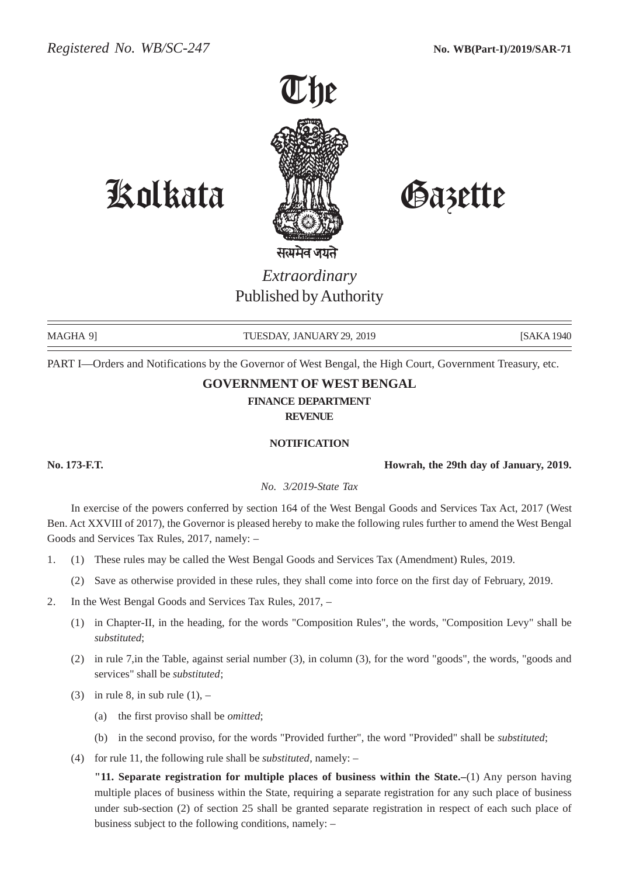

Kolkata Gazette

*Extraordinary* Published by Authority

MAGHA 9] TUESDAY, JANUARY 29, 2019 [SAKA 1940] [SAKA 1940

PART I—Orders and Notifications by the Governor of West Bengal, the High Court, Government Treasury, etc.

## **GOVERNMENT OF WEST BENGAL**

**FINANCE DEPARTMENT**

**REVENUE**

#### **NOTIFICATION**

**No. 173-F.T. Howrah, the 29th day of January, 2019.**

*No. 3/2019-State Tax*

In exercise of the powers conferred by section 164 of the West Bengal Goods and Services Tax Act, 2017 (West Ben. Act XXVIII of 2017), the Governor is pleased hereby to make the following rules further to amend the West Bengal Goods and Services Tax Rules, 2017, namely: –

- 1. (1) These rules may be called the West Bengal Goods and Services Tax (Amendment) Rules, 2019.
	- (2) Save as otherwise provided in these rules, they shall come into force on the first day of February, 2019.
- 2. In the West Bengal Goods and Services Tax Rules, 2017,
	- (1) in Chapter-II, in the heading, for the words "Composition Rules", the words, "Composition Levy" shall be *substituted*;
	- (2) in rule 7,in the Table, against serial number (3), in column (3), for the word "goods", the words, "goods and services" shall be *substituted*;
	- (3) in rule 8, in sub rule  $(1)$ ,
		- (a) the first proviso shall be *omitted*;
		- (b) in the second proviso, for the words "Provided further", the word "Provided" shall be *substituted*;
	- (4) for rule 11, the following rule shall be *substituted*, namely: –

**"11. Separate registration for multiple places of business within the State.–**(1) Any person having multiple places of business within the State, requiring a separate registration for any such place of business under sub-section (2) of section 25 shall be granted separate registration in respect of each such place of business subject to the following conditions, namely: –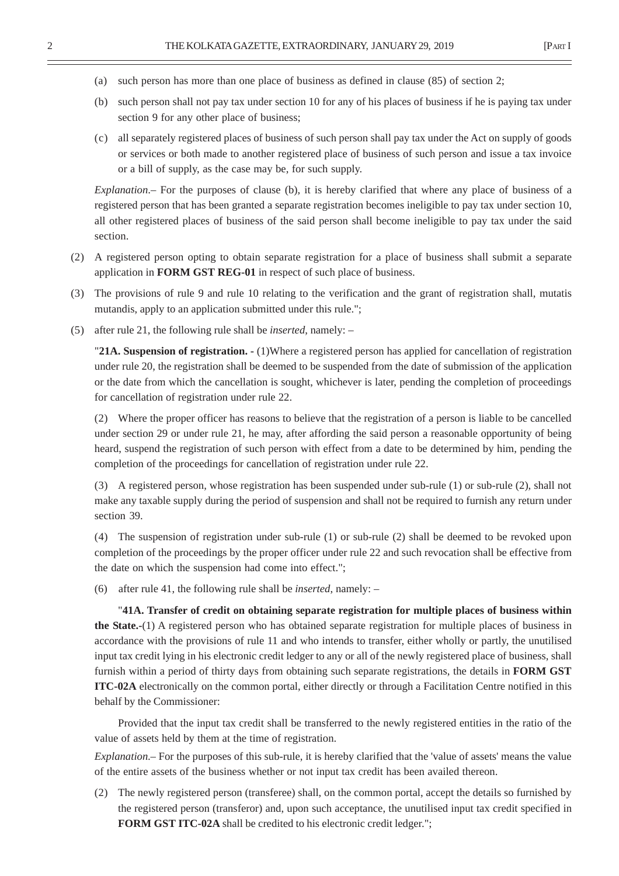- (a) such person has more than one place of business as defined in clause (85) of section 2;
- (b) such person shall not pay tax under section 10 for any of his places of business if he is paying tax under section 9 for any other place of business;
- (c) all separately registered places of business of such person shall pay tax under the Act on supply of goods or services or both made to another registered place of business of such person and issue a tax invoice or a bill of supply, as the case may be, for such supply.

*Explanation*.– For the purposes of clause (b), it is hereby clarified that where any place of business of a registered person that has been granted a separate registration becomes ineligible to pay tax under section 10, all other registered places of business of the said person shall become ineligible to pay tax under the said section.

- (2) A registered person opting to obtain separate registration for a place of business shall submit a separate application in **FORM GST REG-01** in respect of such place of business.
- (3) The provisions of rule 9 and rule 10 relating to the verification and the grant of registration shall, mutatis mutandis, apply to an application submitted under this rule.";
- (5) after rule 21, the following rule shall be *inserted*, namely: –

"**21A. Suspension of registration. -** (1)Where a registered person has applied for cancellation of registration under rule 20, the registration shall be deemed to be suspended from the date of submission of the application or the date from which the cancellation is sought, whichever is later, pending the completion of proceedings for cancellation of registration under rule 22.

(2) Where the proper officer has reasons to believe that the registration of a person is liable to be cancelled under section 29 or under rule 21, he may, after affording the said person a reasonable opportunity of being heard, suspend the registration of such person with effect from a date to be determined by him, pending the completion of the proceedings for cancellation of registration under rule 22.

(3) A registered person, whose registration has been suspended under sub-rule (1) or sub-rule (2), shall not make any taxable supply during the period of suspension and shall not be required to furnish any return under section 39.

(4) The suspension of registration under sub-rule (1) or sub-rule (2) shall be deemed to be revoked upon completion of the proceedings by the proper officer under rule 22 and such revocation shall be effective from the date on which the suspension had come into effect.";

(6) after rule 41, the following rule shall be *inserted*, namely: –

"**41A. Transfer of credit on obtaining separate registration for multiple places of business within the State.-**(1) A registered person who has obtained separate registration for multiple places of business in accordance with the provisions of rule 11 and who intends to transfer, either wholly or partly, the unutilised input tax credit lying in his electronic credit ledger to any or all of the newly registered place of business, shall furnish within a period of thirty days from obtaining such separate registrations, the details in **FORM GST ITC-02A** electronically on the common portal, either directly or through a Facilitation Centre notified in this behalf by the Commissioner:

Provided that the input tax credit shall be transferred to the newly registered entities in the ratio of the value of assets held by them at the time of registration.

*Explanation*.– For the purposes of this sub-rule, it is hereby clarified that the 'value of assets' means the value of the entire assets of the business whether or not input tax credit has been availed thereon.

(2) The newly registered person (transferee) shall, on the common portal, accept the details so furnished by the registered person (transferor) and, upon such acceptance, the unutilised input tax credit specified in **FORM GST ITC-02A** shall be credited to his electronic credit ledger.";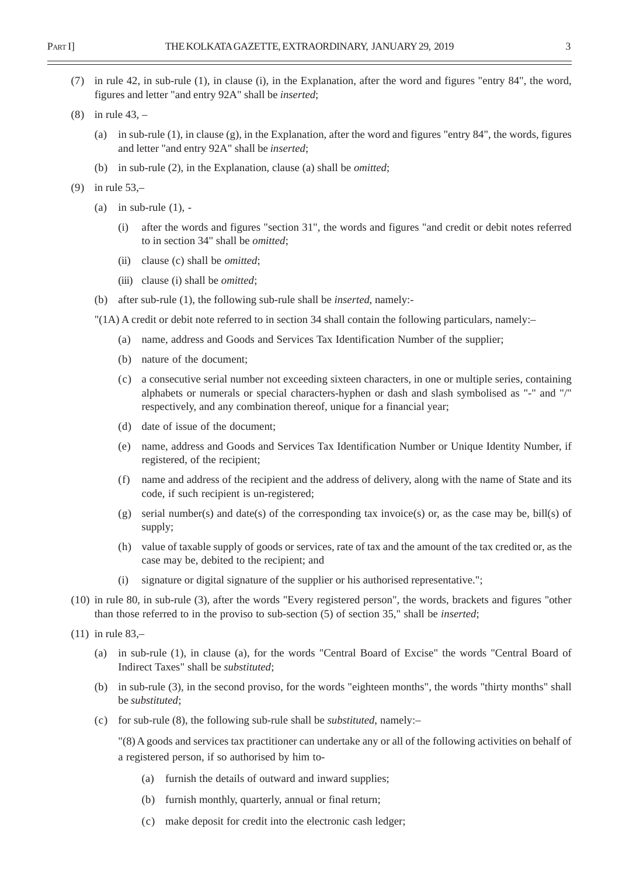- (7) in rule 42, in sub-rule (1), in clause (i), in the Explanation, after the word and figures "entry 84", the word, figures and letter "and entry 92A" shall be *inserted*;
- (8) in rule 43,
	- (a) in sub-rule (1), in clause (g), in the Explanation, after the word and figures "entry 84", the words, figures and letter "and entry 92A" shall be *inserted*;
	- (b) in sub-rule (2), in the Explanation, clause (a) shall be *omitted*;
- (9) in rule 53,–
	- (a) in sub-rule  $(1)$ , -
		- (i) after the words and figures "section 31", the words and figures "and credit or debit notes referred to in section 34" shall be *omitted*;
		- (ii) clause (c) shall be *omitted*;
		- (iii) clause (i) shall be *omitted*;
	- (b) after sub-rule (1), the following sub-rule shall be *inserted*, namely:-
	- "(1A) A credit or debit note referred to in section 34 shall contain the following particulars, namely:–
		- (a) name, address and Goods and Services Tax Identification Number of the supplier;
		- (b) nature of the document;
		- (c) a consecutive serial number not exceeding sixteen characters, in one or multiple series, containing alphabets or numerals or special characters-hyphen or dash and slash symbolised as "-" and "/" respectively, and any combination thereof, unique for a financial year;
		- (d) date of issue of the document;
		- (e) name, address and Goods and Services Tax Identification Number or Unique Identity Number, if registered, of the recipient;
		- (f) name and address of the recipient and the address of delivery, along with the name of State and its code, if such recipient is un-registered;
		- $(g)$  serial number(s) and date(s) of the corresponding tax invoice(s) or, as the case may be, bill(s) of supply;
		- (h) value of taxable supply of goods or services, rate of tax and the amount of the tax credited or, as the case may be, debited to the recipient; and
		- (i) signature or digital signature of the supplier or his authorised representative.";
- (10) in rule 80, in sub-rule (3), after the words "Every registered person", the words, brackets and figures "other than those referred to in the proviso to sub-section (5) of section 35," shall be *inserted*;
- (11) in rule 83,–
	- (a) in sub-rule (1), in clause (a), for the words "Central Board of Excise" the words "Central Board of Indirect Taxes" shall be *substituted*;
	- (b) in sub-rule (3), in the second proviso, for the words "eighteen months", the words "thirty months" shall be *substituted*;
	- (c) for sub-rule (8), the following sub-rule shall be *substituted*, namely:–

"(8) A goods and services tax practitioner can undertake any or all of the following activities on behalf of a registered person, if so authorised by him to-

- (a) furnish the details of outward and inward supplies;
- (b) furnish monthly, quarterly, annual or final return;
- (c) make deposit for credit into the electronic cash ledger;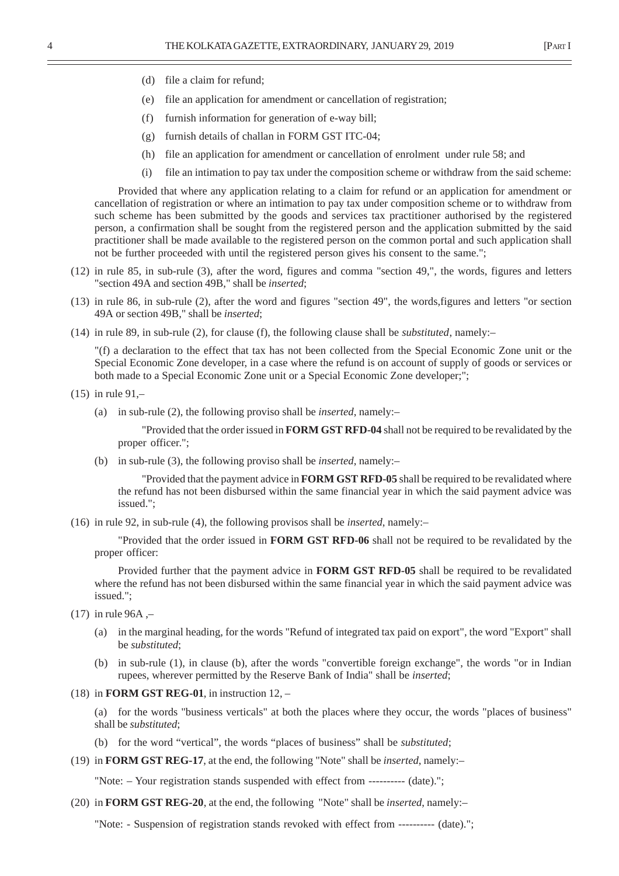- (d) file a claim for refund;
- (e) file an application for amendment or cancellation of registration;
- (f) furnish information for generation of e-way bill;
- (g) furnish details of challan in FORM GST ITC-04;
- (h) file an application for amendment or cancellation of enrolment under rule 58; and
- (i) file an intimation to pay tax under the composition scheme or withdraw from the said scheme:

Provided that where any application relating to a claim for refund or an application for amendment or cancellation of registration or where an intimation to pay tax under composition scheme or to withdraw from such scheme has been submitted by the goods and services tax practitioner authorised by the registered person, a confirmation shall be sought from the registered person and the application submitted by the said practitioner shall be made available to the registered person on the common portal and such application shall not be further proceeded with until the registered person gives his consent to the same.";

- (12) in rule 85, in sub-rule (3), after the word, figures and comma "section 49,", the words, figures and letters "section 49A and section 49B," shall be *inserted*;
- (13) in rule 86, in sub-rule (2), after the word and figures "section 49", the words,figures and letters "or section 49A or section 49B," shall be *inserted*;
- (14) in rule 89, in sub-rule (2), for clause (f), the following clause shall be *substituted*, namely:–

"(f) a declaration to the effect that tax has not been collected from the Special Economic Zone unit or the Special Economic Zone developer, in a case where the refund is on account of supply of goods or services or both made to a Special Economic Zone unit or a Special Economic Zone developer;";

```
(15) in rule 91,–
```
(a) in sub-rule (2), the following proviso shall be *inserted*, namely:–

"Provided that the order issued in **FORM GST RFD-04** shall not be required to be revalidated by the proper officer.";

(b) in sub-rule (3), the following proviso shall be *inserted*, namely:–

"Provided that the payment advice in **FORM GST RFD-05** shall be required to be revalidated where the refund has not been disbursed within the same financial year in which the said payment advice was issued.";

(16) in rule 92, in sub-rule (4), the following provisos shall be *inserted*, namely:–

"Provided that the order issued in **FORM GST RFD-06** shall not be required to be revalidated by the proper officer:

Provided further that the payment advice in **FORM GST RFD-05** shall be required to be revalidated where the refund has not been disbursed within the same financial year in which the said payment advice was issued.";

- $(17)$  in rule 96A,-
	- (a) in the marginal heading, for the words "Refund of integrated tax paid on export", the word "Export" shall be *substituted*;
	- (b) in sub-rule (1), in clause (b), after the words "convertible foreign exchange", the words "or in Indian rupees, wherever permitted by the Reserve Bank of India" shall be *inserted*;
- (18) in **FORM GST REG-01**, in instruction 12, –

(a) for the words "business verticals" at both the places where they occur, the words "places of business" shall be *substituted*;

- (b) for the word "vertical", the words "places of business" shall be *substituted*;
- (19) in **FORM GST REG-17**, at the end, the following "Note" shall be *inserted*, namely:–

"Note: – Your registration stands suspended with effect from ---------- (date).";

(20) in **FORM GST REG-20**, at the end, the following "Note" shall be *inserted*, namely:–

"Note: - Suspension of registration stands revoked with effect from ---------- (date).";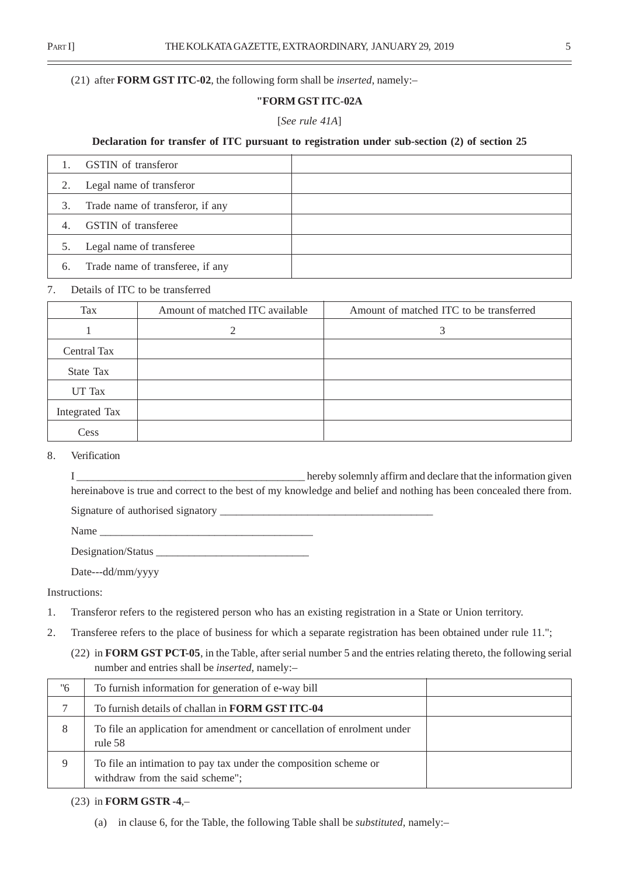#### (21) after **FORM GST ITC-02**, the following form shall be *inserted*, namely:–

## **"FORM GST ITC-02A**

#### [*See rule 41A*]

## **Declaration for transfer of ITC pursuant to registration under sub-section (2) of section 25**

|    | <b>GSTIN</b> of transferor       |  |
|----|----------------------------------|--|
|    | Legal name of transferor         |  |
| 3. | Trade name of transferor, if any |  |
| 4. | <b>GSTIN</b> of transferee       |  |
| 5. | Legal name of transferee         |  |
| 6. | Trade name of transferee, if any |  |

## 7. Details of ITC to be transferred

| Tax            | Amount of matched ITC available | Amount of matched ITC to be transferred |
|----------------|---------------------------------|-----------------------------------------|
|                | ↑                               |                                         |
| Central Tax    |                                 |                                         |
| State Tax      |                                 |                                         |
| UT Tax         |                                 |                                         |
| Integrated Tax |                                 |                                         |
| Cess           |                                 |                                         |

#### 8. Verification

I \_\_\_\_\_\_\_\_\_\_\_\_\_\_\_\_\_\_\_\_\_\_\_\_\_\_\_\_\_\_\_\_\_\_\_\_\_\_\_\_\_\_ hereby solemnly affirm and declare that the information given hereinabove is true and correct to the best of my knowledge and belief and nothing has been concealed there from. Signature of authorised signatory

Name

Designation/Status \_\_\_\_\_\_\_\_\_\_\_\_\_\_\_\_\_\_\_\_\_\_\_\_\_\_\_\_

Date---dd/mm/yyyy

Instructions:

- 1. Transferor refers to the registered person who has an existing registration in a State or Union territory.
- 2. Transferee refers to the place of business for which a separate registration has been obtained under rule 11.";
	- (22) in **FORM GST PCT-05**, in the Table, after serial number 5 and the entries relating thereto, the following serial number and entries shall be *inserted*, namely:–

| "6 | To furnish information for generation of e-way bill                                                 |  |
|----|-----------------------------------------------------------------------------------------------------|--|
|    | To furnish details of challan in <b>FORM GST ITC-04</b>                                             |  |
| 8  | To file an application for amendment or cancellation of enrolment under<br>rule 58                  |  |
| 9  | To file an intimation to pay tax under the composition scheme or<br>withdraw from the said scheme"; |  |

## (23) in **FORM GSTR -4**,–

(a) in clause 6, for the Table, the following Table shall be *substituted*, namely:–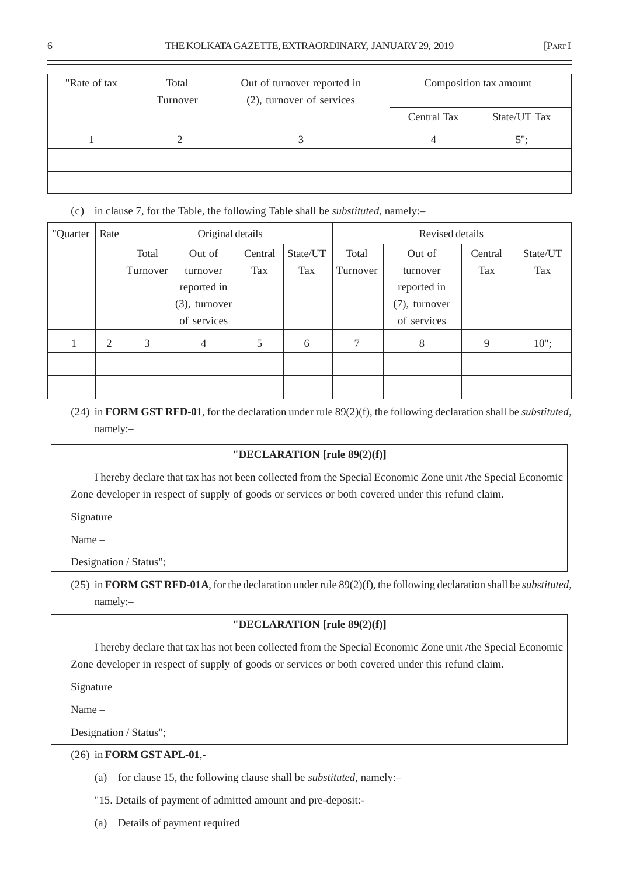| "Rate of tax | Total<br>Turnover | Out of turnover reported in<br>(2), turnover of services | Composition tax amount      |  |
|--------------|-------------------|----------------------------------------------------------|-----------------------------|--|
|              |                   |                                                          | Central Tax<br>State/UT Tax |  |
|              |                   |                                                          | $5$ ":<br>4                 |  |
|              |                   |                                                          |                             |  |
|              |                   |                                                          |                             |  |

(c) in clause 7, for the Table, the following Table shall be *substituted*, namely:–

| "Quarter | Rate           |          | Original details |         |          |          | Revised details |         |          |  |  |
|----------|----------------|----------|------------------|---------|----------|----------|-----------------|---------|----------|--|--|
|          |                | Total    | Out of           | Central | State/UT | Total    | Out of          | Central | State/UT |  |  |
|          |                | Turnover | turnover         | Tax     | Tax      | Turnover | turnover        | Tax     | Tax      |  |  |
|          |                |          | reported in      |         |          |          | reported in     |         |          |  |  |
|          |                |          | $(3)$ , turnover |         |          |          | (7), turnover   |         |          |  |  |
|          |                |          | of services      |         |          |          | of services     |         |          |  |  |
|          | $\overline{2}$ | 3        | $\overline{4}$   | 5       | 6        | 7        | 8               | 9       | $10$ ";  |  |  |
|          |                |          |                  |         |          |          |                 |         |          |  |  |
|          |                |          |                  |         |          |          |                 |         |          |  |  |

(24) in **FORM GST RFD-01**, for the declaration under rule 89(2)(f), the following declaration shall be *substituted*, namely:–

# **"DECLARATION [rule 89(2)(f)]**

I hereby declare that tax has not been collected from the Special Economic Zone unit /the Special Economic Zone developer in respect of supply of goods or services or both covered under this refund claim.

Signature

Name –

Designation / Status";

(25) in **FORM GST RFD-01A**, for the declaration under rule 89(2)(f), the following declaration shall be *substituted*, namely:–

# **"DECLARATION [rule 89(2)(f)]**

I hereby declare that tax has not been collected from the Special Economic Zone unit /the Special Economic Zone developer in respect of supply of goods or services or both covered under this refund claim.

Signature

Name –

Designation / Status";

# (26) in **FORM GST APL-01**,-

- (a) for clause 15, the following clause shall be *substituted*, namely:–
- "15. Details of payment of admitted amount and pre-deposit:-
- (a) Details of payment required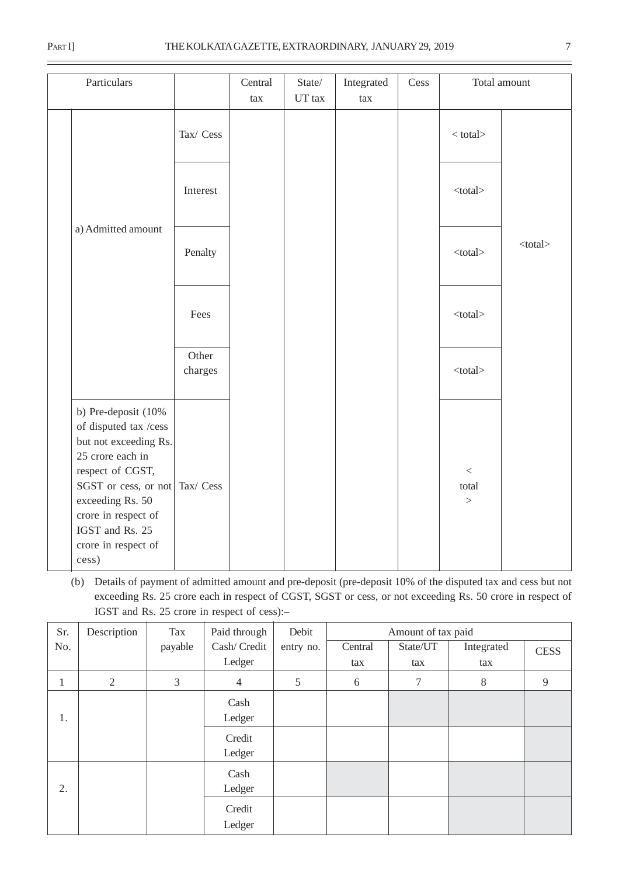| Particulars                                                                                                                                                                                                                                   |                  | Central<br>tax | State/<br>UT tax | Integrated<br>tax | Cess |                                   | Total amount  |
|-----------------------------------------------------------------------------------------------------------------------------------------------------------------------------------------------------------------------------------------------|------------------|----------------|------------------|-------------------|------|-----------------------------------|---------------|
|                                                                                                                                                                                                                                               | Tax/ Cess        |                |                  |                   |      | $<$ total $>$                     |               |
|                                                                                                                                                                                                                                               | Interest         |                |                  |                   |      | $<$ total $>$                     |               |
| a) Admitted amount                                                                                                                                                                                                                            | Penalty          |                |                  |                   |      | $<$ total $>$                     | $<$ total $>$ |
|                                                                                                                                                                                                                                               | Fees             |                |                  |                   |      | $<$ total $>$                     |               |
|                                                                                                                                                                                                                                               | Other<br>charges |                |                  |                   |      | $<$ total $>$                     |               |
| b) Pre-deposit (10%<br>of disputed tax /cess<br>but not exceeding Rs.<br>25 crore each in<br>respect of CGST,<br>SGST or cess, or not Tax/ Cess<br>exceeding Rs. 50<br>crore in respect of<br>IGST and Rs. 25<br>crore in respect of<br>cess) |                  |                |                  |                   |      | $\,<$<br>total<br>$\qquad \qquad$ |               |

(b) Details of payment of admitted amount and pre-deposit (pre-deposit 10% of the disputed tax and cess but not exceeding Rs. 25 crore each in respect of CGST, SGST or cess, or not exceeding Rs. 50 crore in respect of IGST and Rs. 25 crore in respect of cess):–

| Sr.          | Description    | Tax     | Paid through     | Debit     | Amount of tax paid |          |            |             |
|--------------|----------------|---------|------------------|-----------|--------------------|----------|------------|-------------|
| No.          |                | payable | Cash/Credit      | entry no. | Central            | State/UT | Integrated | <b>CESS</b> |
|              |                |         | Ledger           |           | tax                | tax      | tax        |             |
| $\mathbf{I}$ | $\overline{2}$ | 3       | $\overline{4}$   | 5         | $6\,$              | $\tau$   | $8\,$      | 9           |
| 1.           |                |         | Cash<br>Ledger   |           |                    |          |            |             |
|              |                |         | Credit<br>Ledger |           |                    |          |            |             |
| 2.           |                |         | Cash<br>Ledger   |           |                    |          |            |             |
|              |                |         | Credit<br>Ledger |           |                    |          |            |             |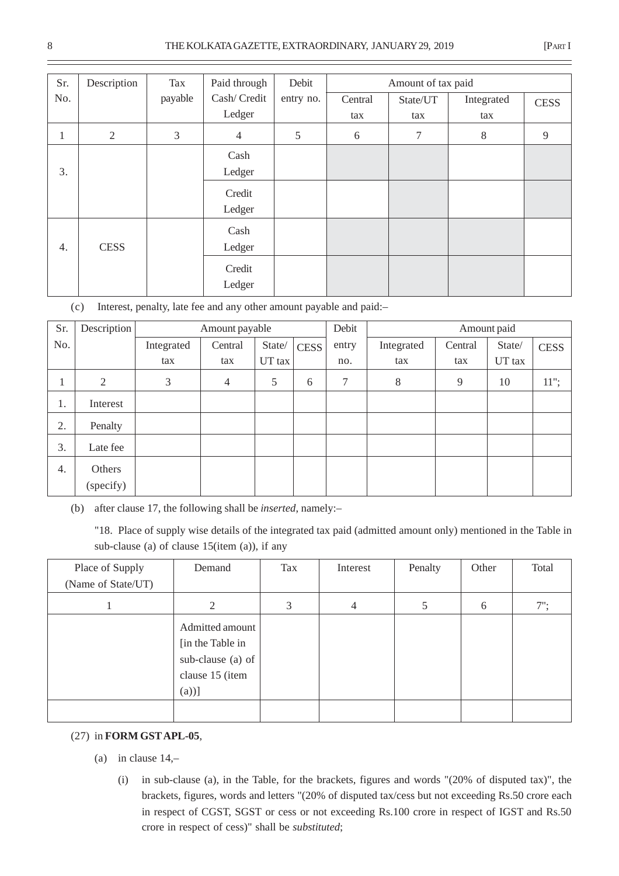| Sr. | Description    | Tax     | Paid through   | Debit     |         | Amount of tax paid |            |             |  |
|-----|----------------|---------|----------------|-----------|---------|--------------------|------------|-------------|--|
| No. |                | payable | Cash/Credit    | entry no. | Central | State/UT           | Integrated | <b>CESS</b> |  |
|     |                |         | Ledger         |           | tax     | tax                | tax        |             |  |
| 1   | $\mathfrak{2}$ | 3       | $\overline{4}$ | 5         | 6       | 7                  | 8          | 9           |  |
|     |                |         | Cash           |           |         |                    |            |             |  |
| 3.  |                |         | Ledger         |           |         |                    |            |             |  |
|     |                |         | Credit         |           |         |                    |            |             |  |
|     |                |         | Ledger         |           |         |                    |            |             |  |
|     |                |         | Cash           |           |         |                    |            |             |  |
| 4.  | <b>CESS</b>    |         | Ledger         |           |         |                    |            |             |  |
|     |                |         | Credit         |           |         |                    |            |             |  |
|     |                |         | Ledger         |           |         |                    |            |             |  |

(c) Interest, penalty, late fee and any other amount payable and paid:–

| Sr. | Description | Amount payable |                |        |             | Debit |            |         | Amount paid |             |
|-----|-------------|----------------|----------------|--------|-------------|-------|------------|---------|-------------|-------------|
| No. |             | Integrated     | Central        | State/ | <b>CESS</b> | entry | Integrated | Central | State/      | <b>CESS</b> |
|     |             | tax            | tax            | UT tax |             | no.   | tax        | tax     | UT tax      |             |
| T.  | 2           | 3              | $\overline{4}$ | 5      | 6           | 7     | 8          | 9       | 10          | $11$ ";     |
| 1.  | Interest    |                |                |        |             |       |            |         |             |             |
| 2.  | Penalty     |                |                |        |             |       |            |         |             |             |
| 3.  | Late fee    |                |                |        |             |       |            |         |             |             |
| 4.  | Others      |                |                |        |             |       |            |         |             |             |
|     | (specify)   |                |                |        |             |       |            |         |             |             |

(b) after clause 17, the following shall be *inserted*, namely:–

"18. Place of supply wise details of the integrated tax paid (admitted amount only) mentioned in the Table in sub-clause (a) of clause 15(item (a)), if any

| Place of Supply    | Demand            | Tax | Interest | Penalty | Other | Total  |
|--------------------|-------------------|-----|----------|---------|-------|--------|
| (Name of State/UT) |                   |     |          |         |       |        |
|                    | 2                 | 3   | 4        | 5       | 6     | $7$ ": |
|                    | Admitted amount   |     |          |         |       |        |
|                    | [in the Table in] |     |          |         |       |        |
|                    | sub-clause (a) of |     |          |         |       |        |
|                    | clause 15 (item   |     |          |         |       |        |
|                    | $(a))$ ]          |     |          |         |       |        |
|                    |                   |     |          |         |       |        |

## (27) in **FORM GST APL-05**,

- (a) in clause 14,–
	- (i) in sub-clause (a), in the Table, for the brackets, figures and words "(20% of disputed tax)", the brackets, figures, words and letters "(20% of disputed tax/cess but not exceeding Rs.50 crore each in respect of CGST, SGST or cess or not exceeding Rs.100 crore in respect of IGST and Rs.50 crore in respect of cess)" shall be *substituted*;